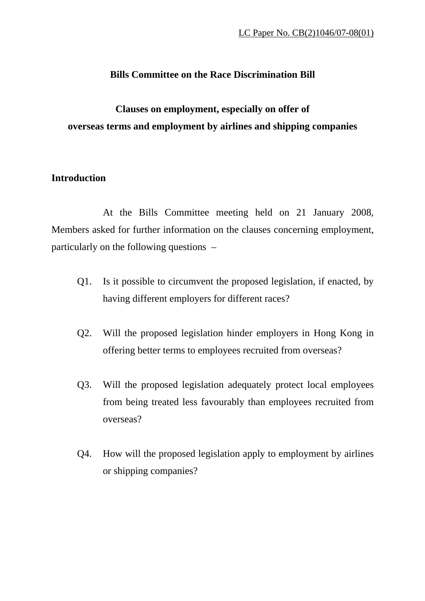## **Bills Committee on the Race Discrimination Bill**

## **Clauses on employment, especially on offer of overseas terms and employment by airlines and shipping companies**

## **Introduction**

 At the Bills Committee meeting held on 21 January 2008, Members asked for further information on the clauses concerning employment, particularly on the following questions –

- Q1. Is it possible to circumvent the proposed legislation, if enacted, by having different employers for different races?
- Q2. Will the proposed legislation hinder employers in Hong Kong in offering better terms to employees recruited from overseas?
- Q3. Will the proposed legislation adequately protect local employees from being treated less favourably than employees recruited from overseas?
- Q4. How will the proposed legislation apply to employment by airlines or shipping companies?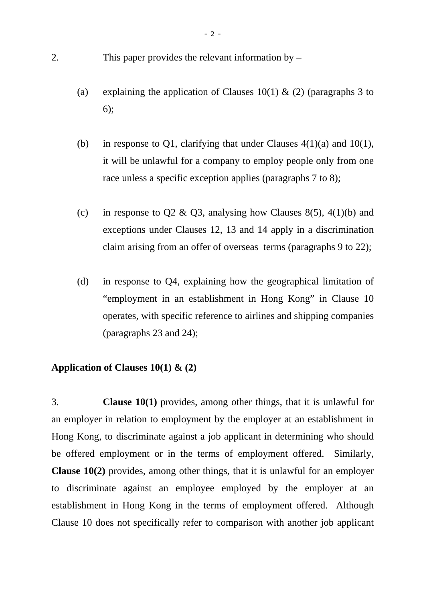- 2. This paper provides the relevant information by
	- (a) explaining the application of Clauses 10(1)  $\&$  (2) (paragraphs 3 to 6);
	- (b) in response to Q1, clarifying that under Clauses  $4(1)(a)$  and  $10(1)$ , it will be unlawful for a company to employ people only from one race unless a specific exception applies (paragraphs 7 to 8);
	- (c) in response to Q2 & Q3, analysing how Clauses 8(5), 4(1)(b) and exceptions under Clauses 12, 13 and 14 apply in a discrimination claim arising from an offer of overseas terms (paragraphs 9 to 22);
	- (d) in response to Q4, explaining how the geographical limitation of "employment in an establishment in Hong Kong" in Clause 10 operates, with specific reference to airlines and shipping companies (paragraphs 23 and 24);

#### **Application of Clauses 10(1) & (2)**

3. **Clause 10(1)** provides, among other things, that it is unlawful for an employer in relation to employment by the employer at an establishment in Hong Kong, to discriminate against a job applicant in determining who should be offered employment or in the terms of employment offered. Similarly, **Clause 10(2)** provides, among other things, that it is unlawful for an employer to discriminate against an employee employed by the employer at an establishment in Hong Kong in the terms of employment offered. Although Clause 10 does not specifically refer to comparison with another job applicant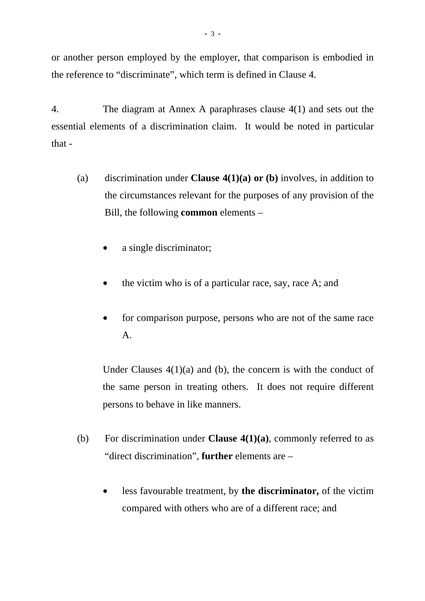or another person employed by the employer, that comparison is embodied in the reference to "discriminate", which term is defined in Clause 4.

4. The diagram at Annex A paraphrases clause 4(1) and sets out the essential elements of a discrimination claim. It would be noted in particular that -

- (a) discrimination under **Clause 4(1)(a) or (b)** involves, in addition to the circumstances relevant for the purposes of any provision of the Bill, the following **common** elements –
	- a single discriminator;
	- the victim who is of a particular race, say, race A; and
	- for comparison purpose, persons who are not of the same race A.

Under Clauses  $4(1)(a)$  and (b), the concern is with the conduct of the same person in treating others. It does not require different persons to behave in like manners.

- (b) For discrimination under **Clause 4(1)(a)**, commonly referred to as "direct discrimination", **further** elements are –
	- less favourable treatment, by **the discriminator,** of the victim compared with others who are of a different race; and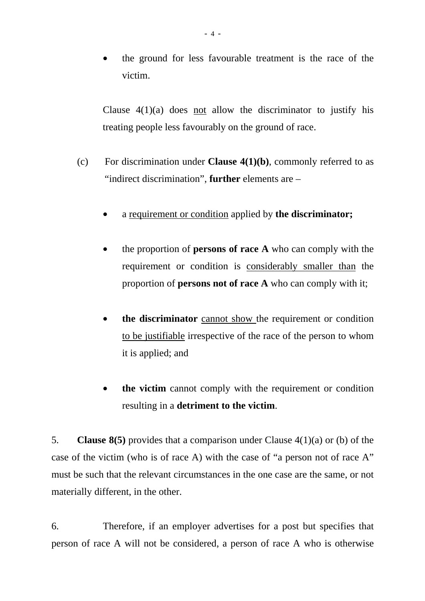• the ground for less favourable treatment is the race of the victim.

Clause  $4(1)(a)$  does not allow the discriminator to justify his treating people less favourably on the ground of race.

- (c) For discrimination under **Clause 4(1)(b)**, commonly referred to as "indirect discrimination", **further** elements are –
	- a requirement or condition applied by **the discriminator;**
	- the proportion of **persons of race A** who can comply with the requirement or condition is considerably smaller than the proportion of **persons not of race A** who can comply with it;
	- **the discriminator** cannot show the requirement or condition to be justifiable irrespective of the race of the person to whom it is applied; and
	- **the victim** cannot comply with the requirement or condition resulting in a **detriment to the victim**.

5. **Clause 8(5)** provides that a comparison under Clause 4(1)(a) or (b) of the case of the victim (who is of race A) with the case of "a person not of race A" must be such that the relevant circumstances in the one case are the same, or not materially different, in the other.

6. Therefore, if an employer advertises for a post but specifies that person of race A will not be considered, a person of race A who is otherwise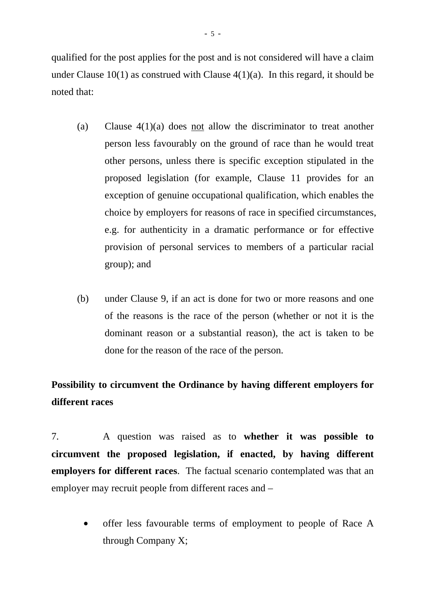qualified for the post applies for the post and is not considered will have a claim under Clause  $10(1)$  as construed with Clause  $4(1)(a)$ . In this regard, it should be noted that:

- (a) Clause 4(1)(a) does not allow the discriminator to treat another person less favourably on the ground of race than he would treat other persons, unless there is specific exception stipulated in the proposed legislation (for example, Clause 11 provides for an exception of genuine occupational qualification, which enables the choice by employers for reasons of race in specified circumstances, e.g. for authenticity in a dramatic performance or for effective provision of personal services to members of a particular racial group); and
- (b) under Clause 9, if an act is done for two or more reasons and one of the reasons is the race of the person (whether or not it is the dominant reason or a substantial reason), the act is taken to be done for the reason of the race of the person.

# **Possibility to circumvent the Ordinance by having different employers for different races**

7. A question was raised as to **whether it was possible to circumvent the proposed legislation, if enacted, by having different employers for different races**. The factual scenario contemplated was that an employer may recruit people from different races and –

• offer less favourable terms of employment to people of Race A through Company X;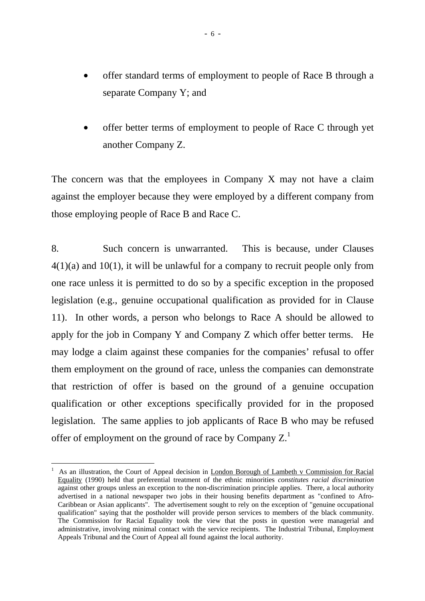- offer standard terms of employment to people of Race B through a separate Company Y; and
- offer better terms of employment to people of Race C through yet another Company Z.

The concern was that the employees in Company X may not have a claim against the employer because they were employed by a different company from those employing people of Race B and Race C.

8. Such concern is unwarranted. This is because, under Clauses  $4(1)(a)$  and  $10(1)$ , it will be unlawful for a company to recruit people only from one race unless it is permitted to do so by a specific exception in the proposed legislation (e.g., genuine occupational qualification as provided for in Clause 11). In other words, a person who belongs to Race A should be allowed to apply for the job in Company Y and Company Z which offer better terms. He may lodge a claim against these companies for the companies' refusal to offer them employment on the ground of race, unless the companies can demonstrate that restriction of offer is based on the ground of a genuine occupation qualification or other exceptions specifically provided for in the proposed legislation. The same applies to job applicants of Race B who may be refused offer of employment on the ground of race by Company  $Z<sup>1</sup>$ .

 $\overline{a}$ 

<sup>1</sup> As an illustration, the Court of Appeal decision in London Borough of Lambeth v Commission for Racial Equality (1990) held that preferential treatment of the ethnic minorities *constitutes racial discrimination* against other groups unless an exception to the non-discrimination principle applies. There, a local authority advertised in a national newspaper two jobs in their housing benefits department as "confined to Afro-Caribbean or Asian applicants". The advertisement sought to rely on the exception of "genuine occupational qualification" saying that the postholder will provide person services to members of the black community. The Commission for Racial Equality took the view that the posts in question were managerial and administrative, involving minimal contact with the service recipients. The Industrial Tribunal, Employment Appeals Tribunal and the Court of Appeal all found against the local authority.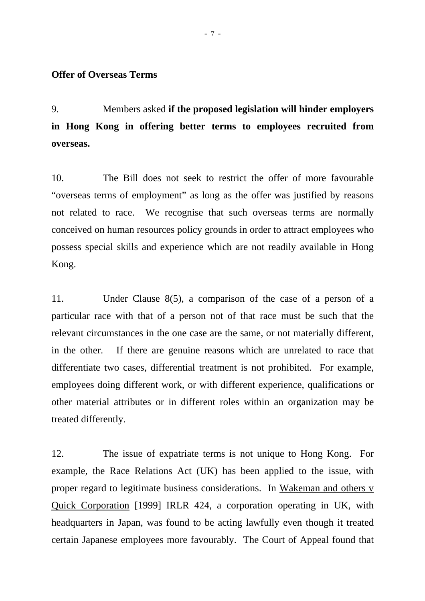#### **Offer of Overseas Terms**

9. Members asked **if the proposed legislation will hinder employers in Hong Kong in offering better terms to employees recruited from overseas.**

10. The Bill does not seek to restrict the offer of more favourable "overseas terms of employment" as long as the offer was justified by reasons not related to race. We recognise that such overseas terms are normally conceived on human resources policy grounds in order to attract employees who possess special skills and experience which are not readily available in Hong Kong.

11. Under Clause 8(5), a comparison of the case of a person of a particular race with that of a person not of that race must be such that the relevant circumstances in the one case are the same, or not materially different, in the other. If there are genuine reasons which are unrelated to race that differentiate two cases, differential treatment is not prohibited. For example, employees doing different work, or with different experience, qualifications or other material attributes or in different roles within an organization may be treated differently.

12. The issue of expatriate terms is not unique to Hong Kong. For example, the Race Relations Act (UK) has been applied to the issue, with proper regard to legitimate business considerations. In Wakeman and others v Quick Corporation [1999] IRLR 424, a corporation operating in UK, with headquarters in Japan, was found to be acting lawfully even though it treated certain Japanese employees more favourably. The Court of Appeal found that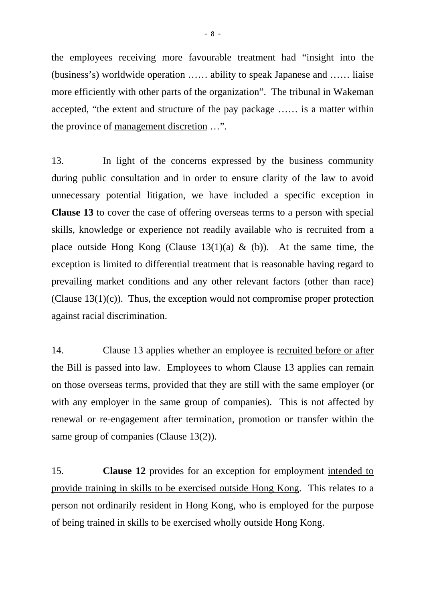the employees receiving more favourable treatment had "insight into the (business's) worldwide operation …… ability to speak Japanese and …… liaise more efficiently with other parts of the organization". The tribunal in Wakeman accepted, "the extent and structure of the pay package …… is a matter within the province of management discretion …".

13. In light of the concerns expressed by the business community during public consultation and in order to ensure clarity of the law to avoid unnecessary potential litigation, we have included a specific exception in **Clause 13** to cover the case of offering overseas terms to a person with special skills, knowledge or experience not readily available who is recruited from a place outside Hong Kong (Clause  $13(1)(a)$  & (b)). At the same time, the exception is limited to differential treatment that is reasonable having regard to prevailing market conditions and any other relevant factors (other than race) (Clause  $13(1)(c)$ ). Thus, the exception would not compromise proper protection against racial discrimination.

14. Clause 13 applies whether an employee is recruited before or after the Bill is passed into law. Employees to whom Clause 13 applies can remain on those overseas terms, provided that they are still with the same employer (or with any employer in the same group of companies). This is not affected by renewal or re-engagement after termination, promotion or transfer within the same group of companies (Clause 13(2)).

15. **Clause 12** provides for an exception for employment intended to provide training in skills to be exercised outside Hong Kong. This relates to a person not ordinarily resident in Hong Kong, who is employed for the purpose of being trained in skills to be exercised wholly outside Hong Kong.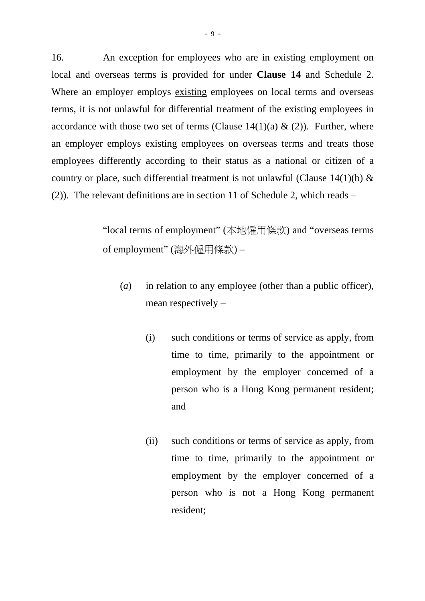16. An exception for employees who are in existing employment on local and overseas terms is provided for under **Clause 14** and Schedule 2. Where an employer employs existing employees on local terms and overseas terms, it is not unlawful for differential treatment of the existing employees in accordance with those two set of terms (Clause  $14(1)(a) \& (2)$ ). Further, where an employer employs existing employees on overseas terms and treats those employees differently according to their status as a national or citizen of a country or place, such differential treatment is not unlawful (Clause 14(1)(b)  $\&$ (2)). The relevant definitions are in section 11 of Schedule 2, which reads –

> "local terms of employment" (本地僱用條款) and "overseas terms of employment" (海外僱用條款) –

- (*a*) in relation to any employee (other than a public officer), mean respectively –
	- (i) such conditions or terms of service as apply, from time to time, primarily to the appointment or employment by the employer concerned of a person who is a Hong Kong permanent resident; and
	- (ii) such conditions or terms of service as apply, from time to time, primarily to the appointment or employment by the employer concerned of a person who is not a Hong Kong permanent resident;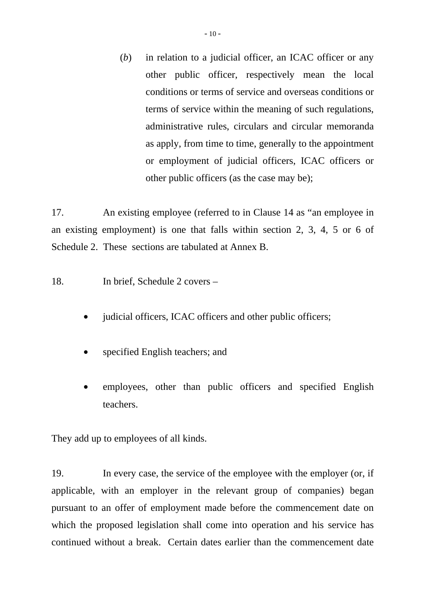(*b*) in relation to a judicial officer, an ICAC officer or any other public officer, respectively mean the local conditions or terms of service and overseas conditions or terms of service within the meaning of such regulations, administrative rules, circulars and circular memoranda as apply, from time to time, generally to the appointment or employment of judicial officers, ICAC officers or other public officers (as the case may be);

17. An existing employee (referred to in Clause 14 as "an employee in an existing employment) is one that falls within section 2, 3, 4, 5 or 6 of Schedule 2. These sections are tabulated at Annex B.

18. In brief, Schedule 2 covers –

- judicial officers, ICAC officers and other public officers;
- specified English teachers; and
- employees, other than public officers and specified English teachers.

They add up to employees of all kinds.

19. In every case, the service of the employee with the employer (or, if applicable, with an employer in the relevant group of companies) began pursuant to an offer of employment made before the commencement date on which the proposed legislation shall come into operation and his service has continued without a break. Certain dates earlier than the commencement date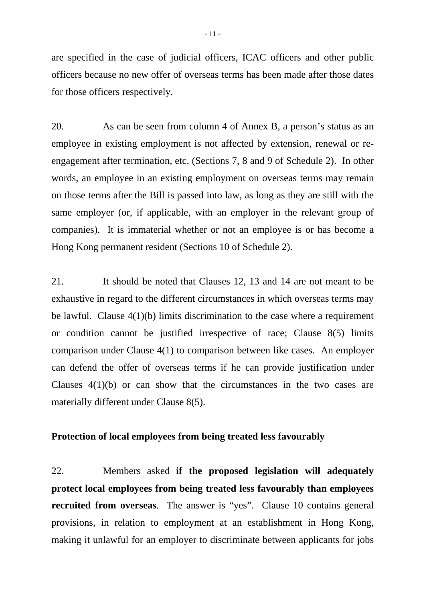are specified in the case of judicial officers, ICAC officers and other public officers because no new offer of overseas terms has been made after those dates for those officers respectively.

20. As can be seen from column 4 of Annex B, a person's status as an employee in existing employment is not affected by extension, renewal or reengagement after termination, etc. (Sections 7, 8 and 9 of Schedule 2). In other words, an employee in an existing employment on overseas terms may remain on those terms after the Bill is passed into law, as long as they are still with the same employer (or, if applicable, with an employer in the relevant group of companies). It is immaterial whether or not an employee is or has become a Hong Kong permanent resident (Sections 10 of Schedule 2).

21. It should be noted that Clauses 12, 13 and 14 are not meant to be exhaustive in regard to the different circumstances in which overseas terms may be lawful. Clause 4(1)(b) limits discrimination to the case where a requirement or condition cannot be justified irrespective of race; Clause 8(5) limits comparison under Clause 4(1) to comparison between like cases. An employer can defend the offer of overseas terms if he can provide justification under Clauses 4(1)(b) or can show that the circumstances in the two cases are materially different under Clause 8(5).

#### **Protection of local employees from being treated less favourably**

22. Members asked **if the proposed legislation will adequately protect local employees from being treated less favourably than employees recruited from overseas**. The answer is "yes". Clause 10 contains general provisions, in relation to employment at an establishment in Hong Kong, making it unlawful for an employer to discriminate between applicants for jobs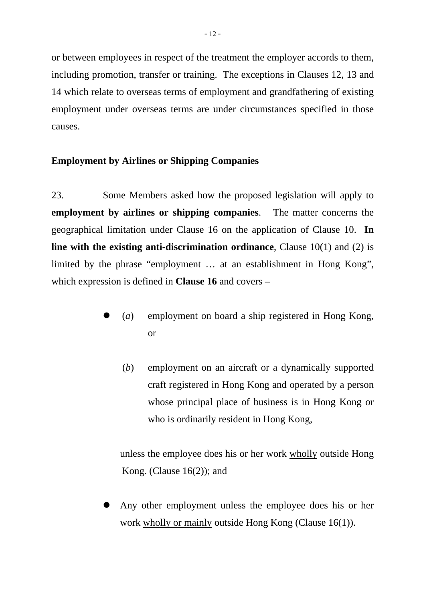or between employees in respect of the treatment the employer accords to them, including promotion, transfer or training. The exceptions in Clauses 12, 13 and 14 which relate to overseas terms of employment and grandfathering of existing employment under overseas terms are under circumstances specified in those causes.

### **Employment by Airlines or Shipping Companies**

23. Some Members asked how the proposed legislation will apply to **employment by airlines or shipping companies**. The matter concerns the geographical limitation under Clause 16 on the application of Clause 10. **In line with the existing anti-discrimination ordinance**, Clause 10(1) and (2) is limited by the phrase "employment … at an establishment in Hong Kong", which expression is defined in **Clause 16** and covers –

- z (*a*) employment on board a ship registered in Hong Kong, or
	- (*b*) employment on an aircraft or a dynamically supported craft registered in Hong Kong and operated by a person whose principal place of business is in Hong Kong or who is ordinarily resident in Hong Kong,

unless the employee does his or her work wholly outside Hong Kong. (Clause  $16(2)$ ); and

Any other employment unless the employee does his or her work wholly or mainly outside Hong Kong (Clause 16(1)).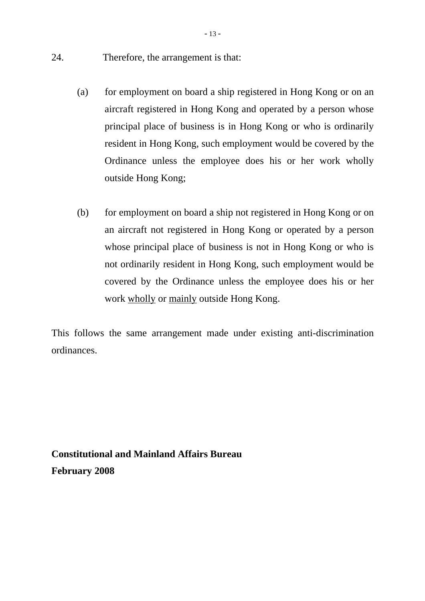- 24. Therefore, the arrangement is that:
	- (a) for employment on board a ship registered in Hong Kong or on an aircraft registered in Hong Kong and operated by a person whose principal place of business is in Hong Kong or who is ordinarily resident in Hong Kong, such employment would be covered by the Ordinance unless the employee does his or her work wholly outside Hong Kong;
	- (b) for employment on board a ship not registered in Hong Kong or on an aircraft not registered in Hong Kong or operated by a person whose principal place of business is not in Hong Kong or who is not ordinarily resident in Hong Kong, such employment would be covered by the Ordinance unless the employee does his or her work wholly or mainly outside Hong Kong.

This follows the same arrangement made under existing anti-discrimination ordinances.

**Constitutional and Mainland Affairs Bureau February 2008**

 $-13-$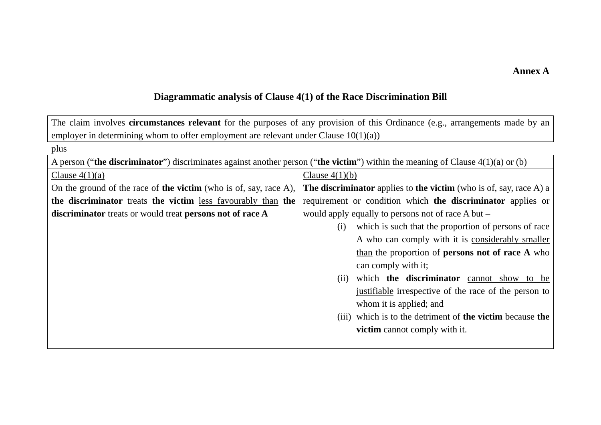#### **Annex A**

## **Diagrammatic analysis of Clause 4(1) of the Race Discrimination Bill**

| The claim involves <b>circumstances relevant</b> for the purposes of any provision of this Ordinance (e.g., arrangements made by an |                                                                         |  |  |  |  |  |
|-------------------------------------------------------------------------------------------------------------------------------------|-------------------------------------------------------------------------|--|--|--|--|--|
| employer in determining whom to offer employment are relevant under Clause $10(1)(a)$ )                                             |                                                                         |  |  |  |  |  |
| plus                                                                                                                                |                                                                         |  |  |  |  |  |
| A person ("the discriminator") discriminates against another person ("the victim") within the meaning of Clause $4(1)(a)$ or (b)    |                                                                         |  |  |  |  |  |
| Clause $4(1)(b)$<br>Clause $4(1)(a)$                                                                                                |                                                                         |  |  |  |  |  |
| On the ground of the race of <b>the victim</b> (who is of, say, race A),                                                            | The discriminator applies to the victim (who is of, say, race $A$ ) a   |  |  |  |  |  |
| the discriminator treats the victim less favourably than the                                                                        | requirement or condition which the discriminator applies or             |  |  |  |  |  |
| discriminator treats or would treat persons not of race A                                                                           | would apply equally to persons not of race A but –                      |  |  |  |  |  |
|                                                                                                                                     | which is such that the proportion of persons of race<br>(i)             |  |  |  |  |  |
|                                                                                                                                     | A who can comply with it is considerably smaller                        |  |  |  |  |  |
|                                                                                                                                     | than the proportion of <b>persons not of race A</b> who                 |  |  |  |  |  |
|                                                                                                                                     | can comply with it;                                                     |  |  |  |  |  |
|                                                                                                                                     | which the discriminator cannot show to be<br>(i)                        |  |  |  |  |  |
|                                                                                                                                     | justifiable irrespective of the race of the person to                   |  |  |  |  |  |
|                                                                                                                                     | whom it is applied; and                                                 |  |  |  |  |  |
|                                                                                                                                     | (iii) which is to the detriment of <b>the victim</b> because <b>the</b> |  |  |  |  |  |
|                                                                                                                                     | <b>victim</b> cannot comply with it.                                    |  |  |  |  |  |
|                                                                                                                                     |                                                                         |  |  |  |  |  |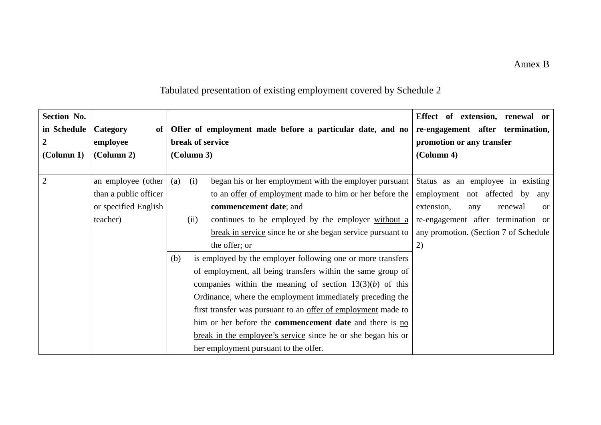#### Annex B

| Section No.<br>in Schedule<br>$\boldsymbol{2}$<br>$\text{(Column 1)}$ | Category<br>of <sub>1</sub><br>employee<br>$\left($ Column 2 $\right)$ |     | (Column 3) | Offer of employment made before a particular date, and no<br>break of service | Effect of extension, renewal or<br>re-engagement after termination,<br>promotion or any transfer<br>(Column 4) |
|-----------------------------------------------------------------------|------------------------------------------------------------------------|-----|------------|-------------------------------------------------------------------------------|----------------------------------------------------------------------------------------------------------------|
| $\overline{2}$                                                        | an employee (other                                                     | (a) | (i)        | began his or her employment with the employer pursuant                        | Status as an employee in existing                                                                              |
|                                                                       | than a public officer                                                  |     |            | to an offer of employment made to him or her before the                       | employment not affected by<br>any                                                                              |
|                                                                       | or specified English                                                   |     |            | commencement date; and                                                        | extension,<br>renewal<br>any<br><sub>or</sub>                                                                  |
|                                                                       | teacher)                                                               |     | (ii)       | continues to be employed by the employer without a                            | re-engagement after termination or                                                                             |
|                                                                       |                                                                        |     |            | break in service since he or she began service pursuant to                    | any promotion. (Section 7 of Schedule                                                                          |
|                                                                       |                                                                        |     |            | the offer; or                                                                 | 2)                                                                                                             |
|                                                                       |                                                                        | (b) |            | is employed by the employer following one or more transfers                   |                                                                                                                |
|                                                                       |                                                                        |     |            | of employment, all being transfers within the same group of                   |                                                                                                                |
|                                                                       |                                                                        |     |            | companies within the meaning of section $13(3)(b)$ of this                    |                                                                                                                |
|                                                                       |                                                                        |     |            | Ordinance, where the employment immediately preceding the                     |                                                                                                                |
|                                                                       |                                                                        |     |            | first transfer was pursuant to an offer of employment made to                 |                                                                                                                |
|                                                                       |                                                                        |     |            | him or her before the <b>commencement date</b> and there is no                |                                                                                                                |
|                                                                       |                                                                        |     |            | break in the employee's service since he or she began his or                  |                                                                                                                |
|                                                                       |                                                                        |     |            | her employment pursuant to the offer.                                         |                                                                                                                |

# Tabulated presentation of existing employment covered by Schedule 2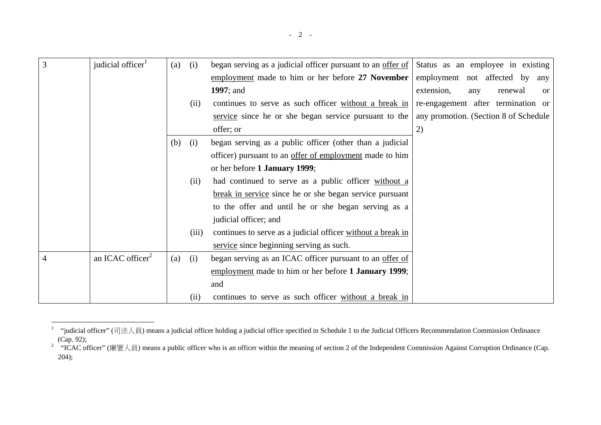| 3 | judicial officer <sup>1</sup> | (a) | (i)   | began serving as a judicial officer pursuant to an offer of | Status as an employee in existing             |
|---|-------------------------------|-----|-------|-------------------------------------------------------------|-----------------------------------------------|
|   |                               |     |       | employment made to him or her before 27 November            | employment not affected by<br>any             |
|   |                               |     |       | 1997; and                                                   | extension,<br>renewal<br>any<br><sub>or</sub> |
|   |                               |     | (ii)  | continues to serve as such officer without a break in       | re-engagement after termination or            |
|   |                               |     |       | service since he or she began service pursuant to the       | any promotion. (Section 8 of Schedule         |
|   |                               |     |       | offer; or                                                   | 2)                                            |
|   |                               | (b) | (i)   | began serving as a public officer (other than a judicial    |                                               |
|   |                               |     |       | officer) pursuant to an offer of employment made to him     |                                               |
|   |                               |     |       | or her before 1 January 1999;                               |                                               |
|   |                               |     | (ii)  | had continued to serve as a public officer without a        |                                               |
|   |                               |     |       | break in service since he or she began service pursuant     |                                               |
|   |                               |     |       | to the offer and until he or she began serving as a         |                                               |
|   |                               |     |       | judicial officer; and                                       |                                               |
|   |                               |     | (iii) | continues to serve as a judicial officer without a break in |                                               |
|   |                               |     |       | service since beginning serving as such.                    |                                               |
| 4 | an ICAC officer $2$           | (a) | (i)   | began serving as an ICAC officer pursuant to an offer of    |                                               |
|   |                               |     |       | employment made to him or her before 1 January 1999;        |                                               |
|   |                               |     |       | and                                                         |                                               |
|   |                               |     | (ii)  | continues to serve as such officer without a break in       |                                               |

<sup>&</sup>lt;sup>1</sup> "judicial officer" (司法人員) means a judicial officer holding a judicial office specified in Schedule 1 to the Judicial Officers Recommendation Commission Ordinance (Cap. 92);

<sup>&</sup>lt;sup>2</sup> "ICAC officer" (廉署人員) means a public officer who is an officer within the meaning of section 2 of the Independent Commission Against Corruption Ordinance (Cap. 204);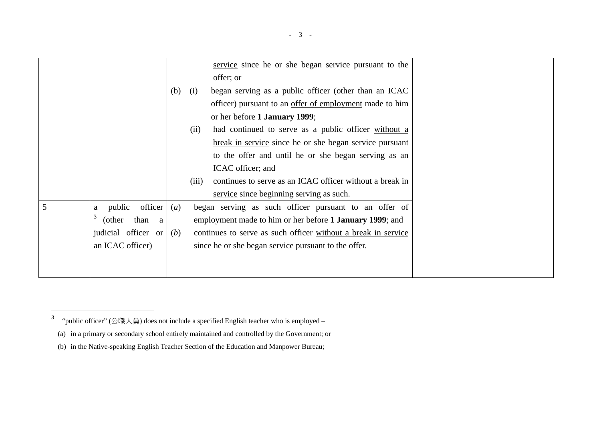|   |                          |     |       | service since he or she began service pursuant to the          |
|---|--------------------------|-----|-------|----------------------------------------------------------------|
|   |                          |     |       | offer; or                                                      |
|   |                          | (b) | (i)   | began serving as a public officer (other than an ICAC          |
|   |                          |     |       | officer) pursuant to an <u>offer of employment</u> made to him |
|   |                          |     |       | or her before 1 January 1999;                                  |
|   |                          |     | (ii)  | had continued to serve as a public officer without a           |
|   |                          |     |       | break in service since he or she began service pursuant        |
|   |                          |     |       | to the offer and until he or she began serving as an           |
|   |                          |     |       | ICAC officer; and                                              |
|   |                          |     | (iii) | continues to serve as an ICAC officer without a break in       |
|   |                          |     |       | service since beginning serving as such.                       |
| 5 | officer<br>public<br>a   | (a) |       | began serving as such officer pursuant to an offer of          |
|   | 3<br>(other<br>than<br>a |     |       | employment made to him or her before 1 January 1999; and       |
|   | judicial officer or      | (b) |       | continues to serve as such officer without a break in service  |
|   | an ICAC officer)         |     |       | since he or she began service pursuant to the offer.           |
|   |                          |     |       |                                                                |
|   |                          |     |       |                                                                |

<sup>&</sup>lt;sup>3</sup> "public officer" (公職人員) does not include a specified English teacher who is employed –

<sup>(</sup>a) in a primary or secondary school entirely maintained and controlled by the Government; or

<sup>(</sup>b) in the Native-speaking English Teacher Section of the Education and Manpower Bureau;